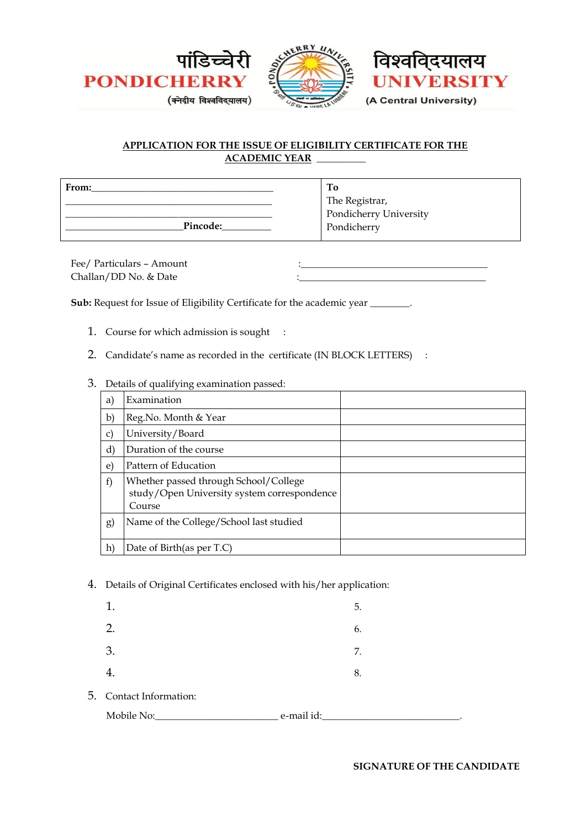



## **APPLICATION FOR THE ISSUE OF ELIGIBILITY CERTIFICATE FOR THE ACADEMIC YEAR \_\_\_\_\_\_\_\_\_\_**

| From:    | Тo                     |
|----------|------------------------|
|          | The Registrar,         |
|          | Pondicherry University |
| Pincode: | Pondicherry            |

Fee/ Particulars - Amount Challan/DD No. & Date

**Sub:** Request for Issue of Eligibility Certificate for the academic year \_\_\_\_\_\_\_.

- 1. Course for which admission is sought :
- 2. Candidate's name as recorded in the certificate (IN BLOCK LETTERS) :
- 3. Details of qualifying examination passed:

| a)               | Examination                                                                                    |  |
|------------------|------------------------------------------------------------------------------------------------|--|
| b)               | Reg. No. Month & Year                                                                          |  |
| $\mathbf{C}$     | University/Board                                                                               |  |
| $\rm d$          | Duration of the course                                                                         |  |
| e)               | Pattern of Education                                                                           |  |
| f)               | Whether passed through School/College<br>study/Open University system correspondence<br>Course |  |
| $\left(g\right)$ | Name of the College/School last studied                                                        |  |
| h)               | Date of Birth(as per T.C)                                                                      |  |

4. Details of Original Certificates enclosed with his/her application:

| 1.                      |            | 5. |
|-------------------------|------------|----|
| 2.                      |            | 6. |
| 3.                      |            | 7. |
| 4.                      |            | 8. |
| 5. Contact Information: |            |    |
| Mobile No:              | e-mail id: |    |